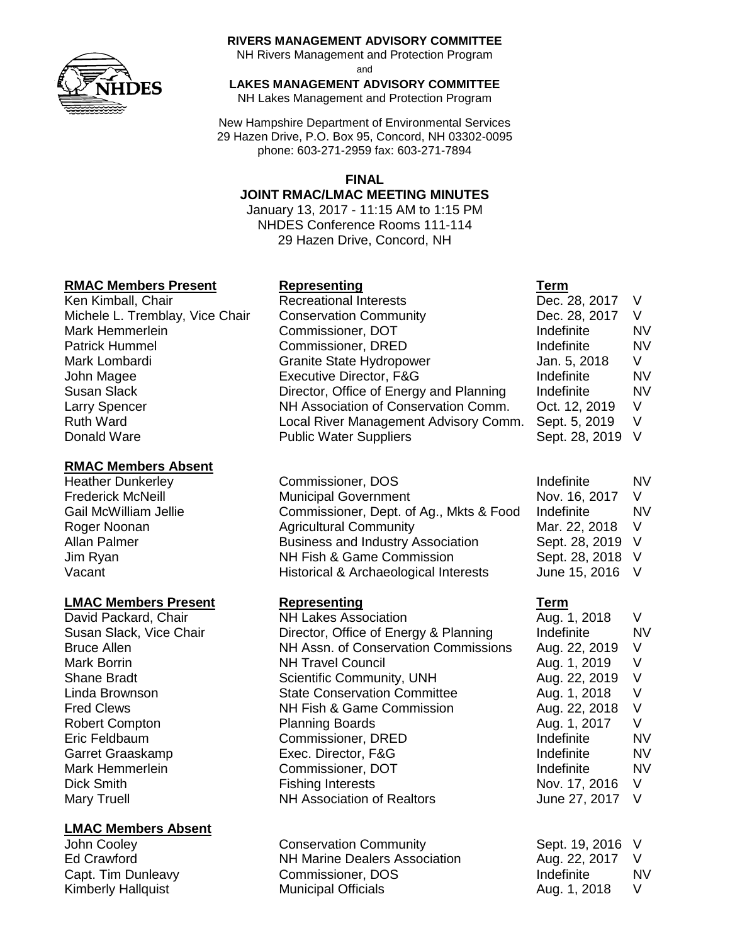

#### **RIVERS MANAGEMENT ADVISORY COMMITTEE**

NH Rivers Management and Protection Program

and

**LAKES MANAGEMENT ADVISORY COMMITTEE**

NH Lakes Management and Protection Program

New Hampshire Department of Environmental Services 29 Hazen Drive, P.O. Box 95, Concord, NH 03302-0095 phone: 603-271-2959 fax: 603-271-7894

### **FINAL**

### **JOINT RMAC/LMAC MEETING MINUTES**

January 13, 2017 - 11:15 AM to 1:15 PM NHDES Conference Rooms 111-114 29 Hazen Drive, Concord, NH

## **RMAC Members Present Representing Term**

Ken Kimball, Chair **Recreational Interests** Michele L. Tremblay, Vice Chair Conservation Community Mark Hemmerlein **Commissioner**, DOT Patrick Hummel Commissioner, DRED Mark Lombardi Granite State Hydropower John Magee **Executive Director, F&G** Donald Ware **Public Water Suppliers** 

## **RMAC Members Absent**

Heather Dunkerley **Commissioner, DOS** 

### **LMAC Members Present Representing Term**

### **LMAC Members Absent**

Susan Slack **Director, Office of Energy and Planning** Indefinition Larry Spencer NH Association of Conservation Comm. Ruth Ward **Local River Management Advisory Comm.** Comm.

Frederick McNeill **Exercise State Municipal Government** Gail McWilliam Jellie Commissioner, Dept. of Ag., Mkts & Food Roger Noonan **Agricultural Community** Mar. 2018 Mar. 22, 2018 Mar. 22, 2018 Mar. 22, 2018 Mar. 22, 2018 Mar. 22, 2018 V Allan Palmer **Business and Industry Association** Jim Ryan NH Fish & Game Commission Vacant Vacant Historical & Archaeological Interests

David Packard, Chair **NH Lakes Association** Aug. 1, 2018 V Susan Slack, Vice Chair **Director, Office of Energy & Planning** Indefinite MV Bruce Allen **NH Assn. of Conservation Commissions** Aug. 22, 2019 V Mark Borrin **NH Travel Council Mark Borrin** Aug. 1, 2019 V Shane Bradt **Scientific Community, UNH** Aug. 22, 2019 V Linda Brownson **State Conservation Committee** Aug. 1, 2018 V Fred Clews NH Fish & Game Commission Aug. 22, 2018 V Robert Compton **Planning Boards** Aug. 1, 2017 V Eric Feldbaum Commissioner, DRED Indefinite NV Garret Graaskamp **Exec.** Director, F&G **Indefinite** NV Mark Hemmerlein **Commissioner, DOT** and the Indefinite and NV Dick Smith **Fishing Interests** Nov. 17, 2016 V Mary Truell **NH Association of Realtors** June 27, 2017 V

John Cooley Conservation Community Sept. 19, 2016 V Ed Crawford NH Marine Dealers Association Aug. 22, 2017 V Capt. Tim Dunleavy Commissioner, DOS Indefinite NV Kimberly Hallquist **Municipal Officials** Aug. 1, 2018 V

| Dec. 28, 2017  | V  |
|----------------|----|
| Dec. 28, 2017  | V  |
| Indefinite     | NV |
| Indefinite     | NV |
| Jan. 5, 2018   | V  |
| Indefinite     | NV |
| Indefinite     | NV |
| Oct. 12, 2019  | V  |
| Sept. 5, 2019  | V  |
| Sept. 28, 2019 | V  |

| Indefinite     | NV |
|----------------|----|
| Nov. 16, 2017  | V  |
| Indefinite     | NV |
| Mar. 22, 2018  | V  |
| Sept. 28, 2019 | V  |
| Sept. 28, 2018 | V  |
| June 15, 2016  | V  |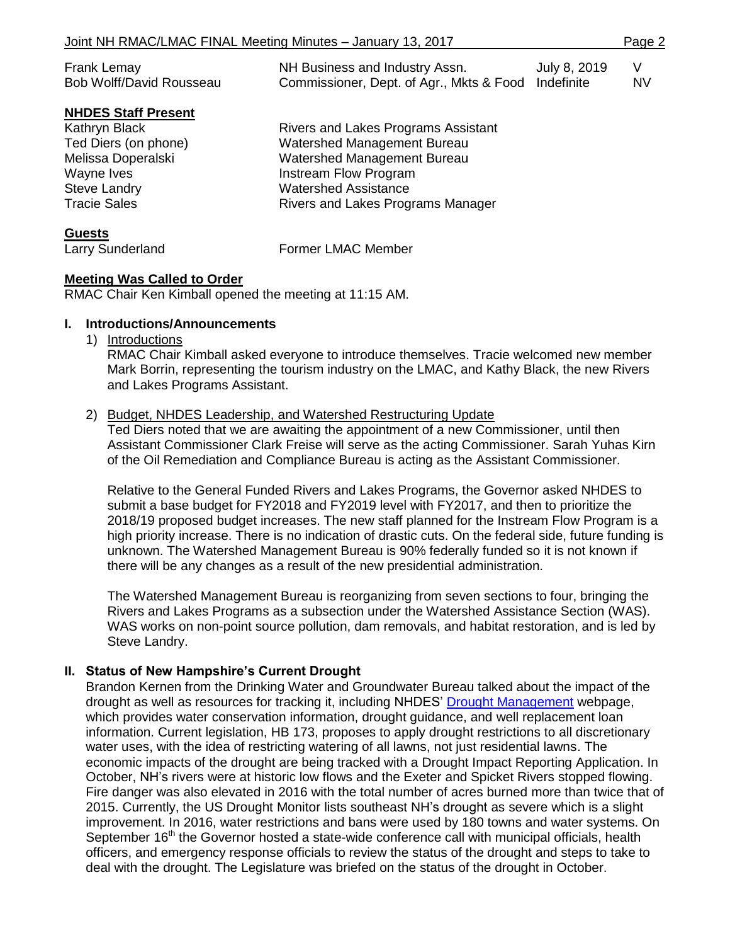| Frank Lemay<br>Bob Wolff/David Rousseau | NH Business and Industry Assn.<br>Commissioner, Dept. of Agr., Mkts & Food Indefinite | July 8, 2019 | V<br><b>NV</b> |
|-----------------------------------------|---------------------------------------------------------------------------------------|--------------|----------------|
| <b>NHDES Staff Present</b>              |                                                                                       |              |                |
| Kathryn Black                           | Rivers and Lakes Programs Assistant                                                   |              |                |
| Ted Diers (on phone)                    | Watershed Management Bureau                                                           |              |                |
| Melissa Doperalski                      | Watershed Management Bureau                                                           |              |                |
| Wayne Ives                              | Instream Flow Program                                                                 |              |                |
| <b>Steve Landry</b>                     | <b>Watershed Assistance</b>                                                           |              |                |
| <b>Tracie Sales</b>                     | Rivers and Lakes Programs Manager                                                     |              |                |

**Guests**

Larry Sunderland Former LMAC Member

### **Meeting Was Called to Order**

RMAC Chair Ken Kimball opened the meeting at 11:15 AM.

#### **I. Introductions/Announcements**

1) Introductions

RMAC Chair Kimball asked everyone to introduce themselves. Tracie welcomed new member Mark Borrin, representing the tourism industry on the LMAC, and Kathy Black, the new Rivers and Lakes Programs Assistant.

### 2) Budget, NHDES Leadership, and Watershed Restructuring Update

Ted Diers noted that we are awaiting the appointment of a new Commissioner, until then Assistant Commissioner Clark Freise will serve as the acting Commissioner. Sarah Yuhas Kirn of the Oil Remediation and Compliance Bureau is acting as the Assistant Commissioner.

Relative to the General Funded Rivers and Lakes Programs, the Governor asked NHDES to submit a base budget for FY2018 and FY2019 level with FY2017, and then to prioritize the 2018/19 proposed budget increases. The new staff planned for the Instream Flow Program is a high priority increase. There is no indication of drastic cuts. On the federal side, future funding is unknown. The Watershed Management Bureau is 90% federally funded so it is not known if there will be any changes as a result of the new presidential administration.

The Watershed Management Bureau is reorganizing from seven sections to four, bringing the Rivers and Lakes Programs as a subsection under the Watershed Assistance Section (WAS). WAS works on non-point source pollution, dam removals, and habitat restoration, and is led by Steve Landry.

### **II. Status of New Hampshire's Current Drought**

Brandon Kernen from the Drinking Water and Groundwater Bureau talked about the impact of the drought as well as resources for tracking it, including NHDES' [Drought Management](http://www.des.nh.gov/organization/divisions/water/dam/drought/index.htm) webpage, which provides water conservation information, drought guidance, and well replacement loan information. Current legislation, HB 173, proposes to apply drought restrictions to all discretionary water uses, with the idea of restricting watering of all lawns, not just residential lawns. The economic impacts of the drought are being tracked with a Drought Impact Reporting Application. In October, NH's rivers were at historic low flows and the Exeter and Spicket Rivers stopped flowing. Fire danger was also elevated in 2016 with the total number of acres burned more than twice that of 2015. Currently, the [US Drought Monitor](http://droughtmonitor.unl.edu/Home.aspx) lists southeast NH's drought as severe which is a slight improvement. In 2016, water restrictions and bans were used by 180 towns and water systems. On September 16<sup>th</sup> the Governor hosted a state-wide conference call with municipal officials, health officers, and emergency response officials to review the status of the drought and steps to take to deal with the drought. The Legislature was briefed on the status of the drought in October.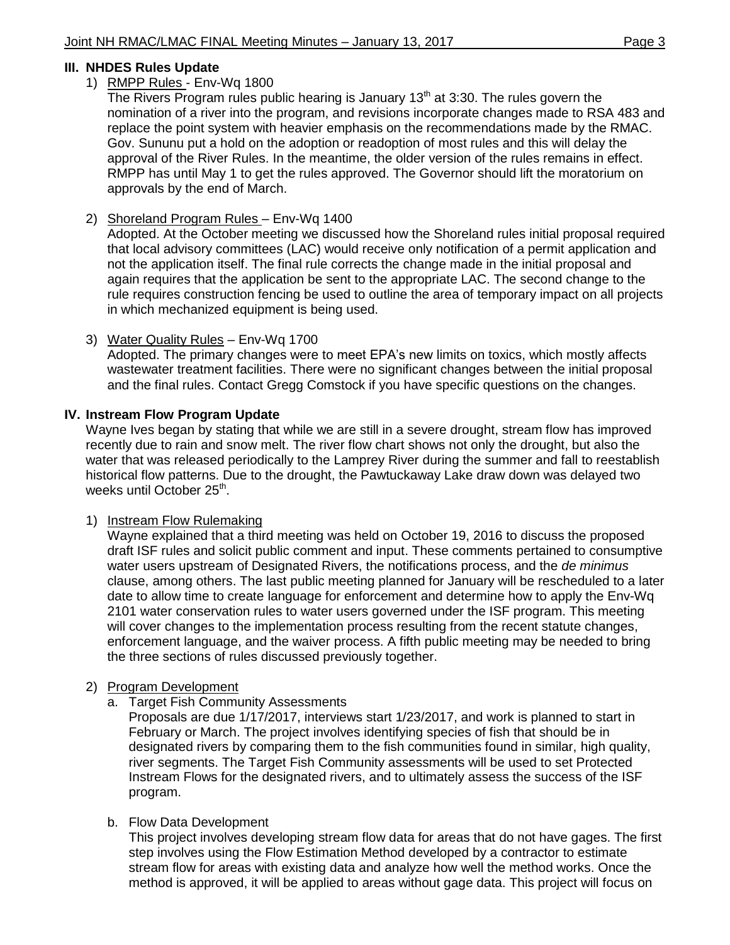### **III. NHDES Rules Update**

#### 1) RMPP Rules - Env-Wq 1800

The Rivers Program rules public hearing is January  $13<sup>th</sup>$  at 3:30. The rules govern the nomination of a river into the program, and revisions incorporate changes made to RSA 483 and replace the point system with heavier emphasis on the recommendations made by the RMAC. Gov. Sununu put a hold on the adoption or readoption of most rules and this will delay the approval of the River Rules. In the meantime, the older version of the rules remains in effect. RMPP has until May 1 to get the rules approved. The Governor should lift the moratorium on approvals by the end of March.

### 2) Shoreland Program Rules – Env-Wq 1400

Adopted. At the October meeting we discussed how the Shoreland rules initial proposal required that local advisory committees (LAC) would receive only notification of a permit application and not the application itself. The final rule corrects the change made in the initial proposal and again requires that the application be sent to the appropriate LAC. The second change to the rule requires construction fencing be used to outline the area of temporary impact on all projects in which mechanized equipment is being used.

## 3) Water Quality Rules – Env-Wq 1700

Adopted. The primary changes were to meet EPA's new limits on toxics, which mostly affects wastewater treatment facilities. There were no significant changes between the initial proposal and the final rules. Contact Gregg Comstock if you have specific questions on the changes.

#### **IV. Instream Flow Program Update**

Wayne Ives began by stating that while we are still in a severe drought, stream flow has improved recently due to rain and snow melt. The river flow chart shows not only the drought, but also the water that was released periodically to the Lamprey River during the summer and fall to reestablish historical flow patterns. Due to the drought, the Pawtuckaway Lake draw down was delayed two weeks until October 25<sup>th</sup>.

### 1) Instream Flow Rulemaking

Wayne explained that a third meeting was held on October 19, 2016 to discuss the proposed draft ISF rules and solicit public comment and input. These comments pertained to consumptive water users upstream of Designated Rivers, the notifications process, and the *de minimus* clause, among others. The last public meeting planned for January will be rescheduled to a later date to allow time to create language for enforcement and determine how to apply the Env-Wq 2101 water conservation rules to water users governed under the ISF program. This meeting will cover changes to the implementation process resulting from the recent statute changes, enforcement language, and the waiver process. A fifth public meeting may be needed to bring the three sections of rules discussed previously together.

### 2) Program Development

a. Target Fish Community Assessments

Proposals are due 1/17/2017, interviews start 1/23/2017, and work is planned to start in February or March. The project involves identifying species of fish that should be in designated rivers by comparing them to the fish communities found in similar, high quality, river segments. The Target Fish Community assessments will be used to set Protected Instream Flows for the designated rivers, and to ultimately assess the success of the ISF program.

### b. Flow Data Development

This project involves developing stream flow data for areas that do not have gages. The first step involves using the Flow Estimation Method developed by a contractor to estimate stream flow for areas with existing data and analyze how well the method works. Once the method is approved, it will be applied to areas without gage data. This project will focus on